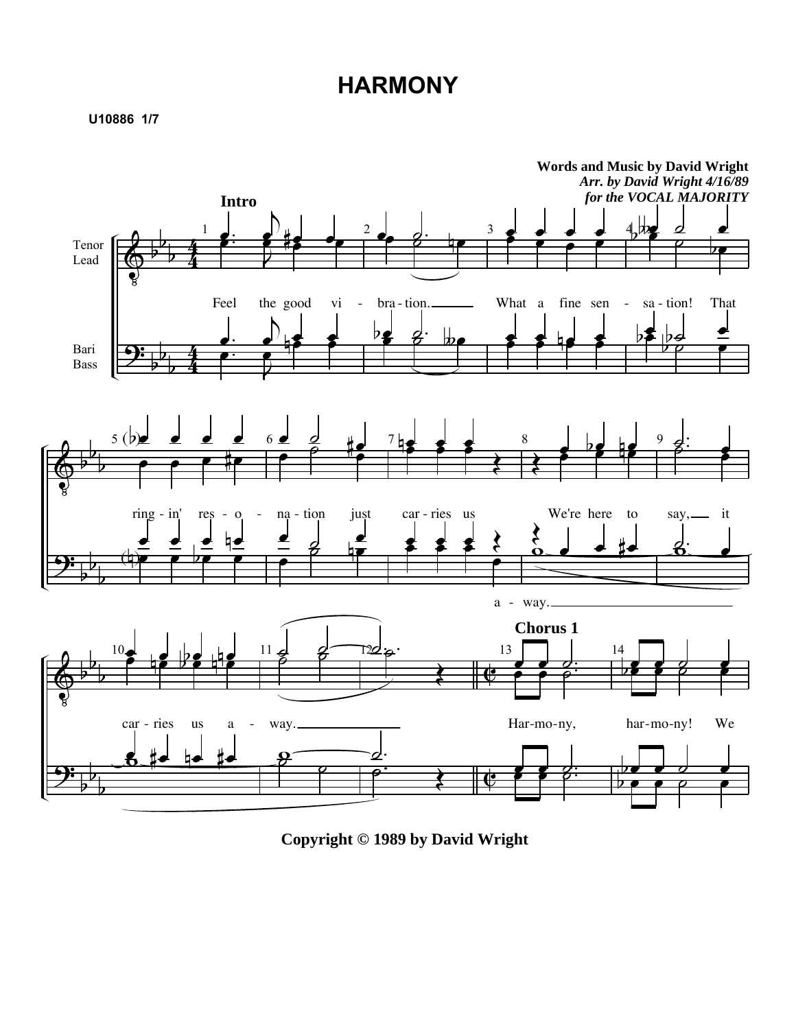## **HARMONY**

**U10886 1/7**



**Copyright © 1989 by David Wright**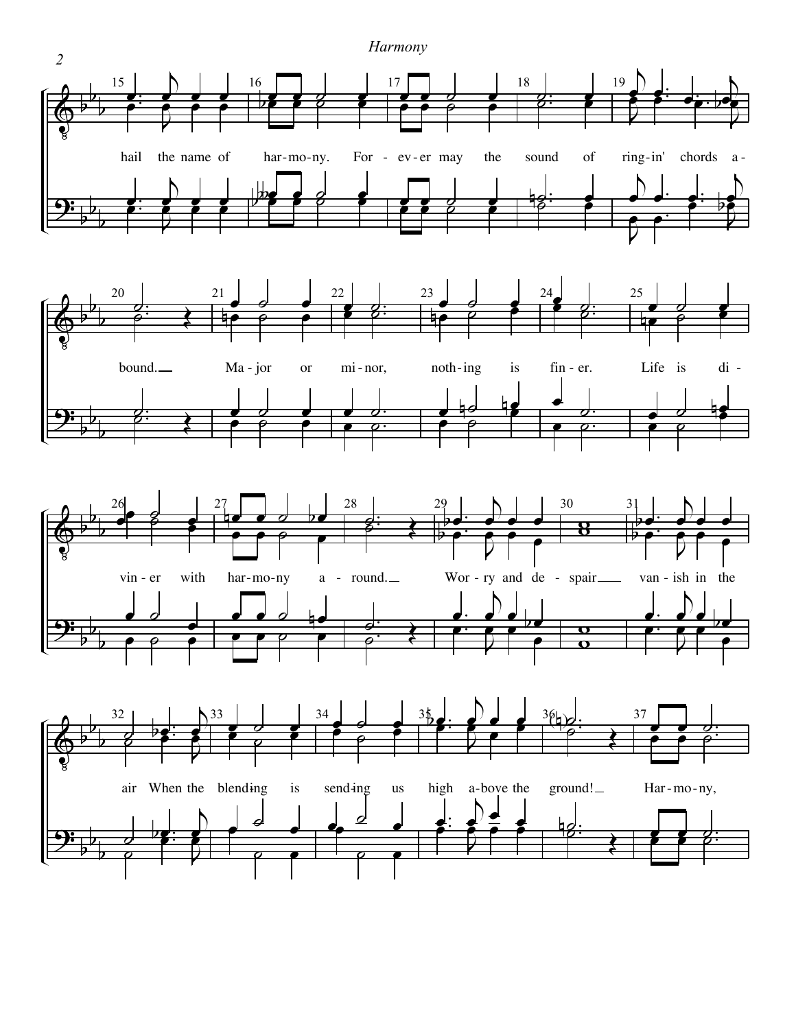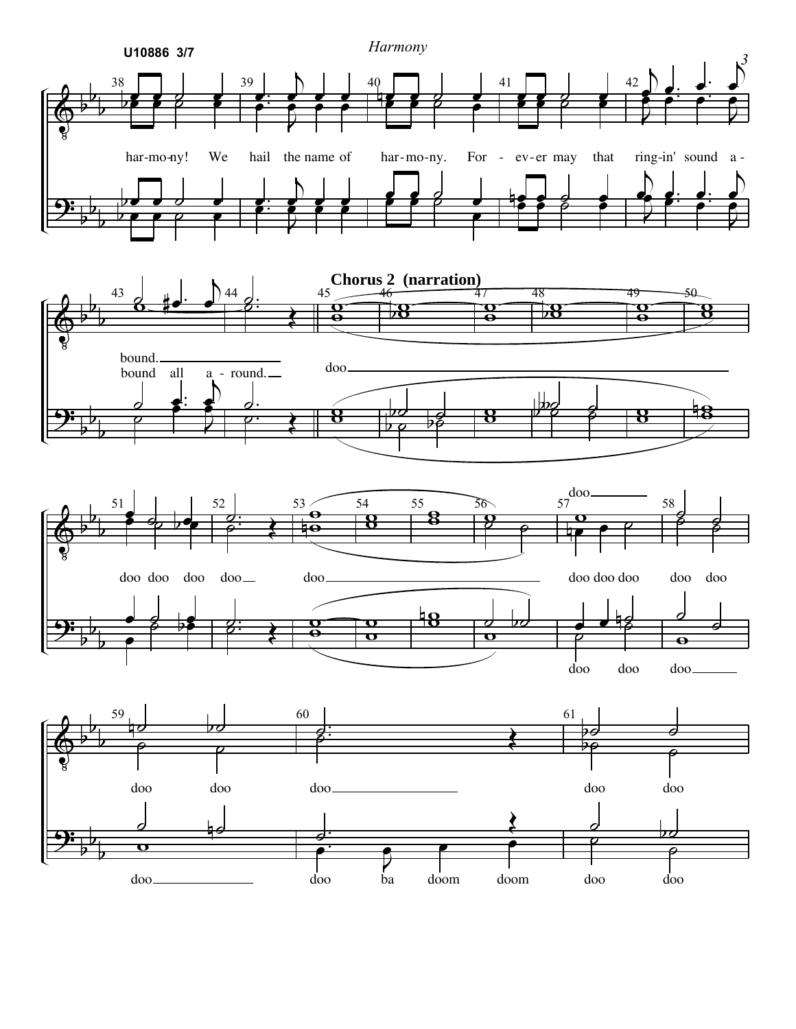

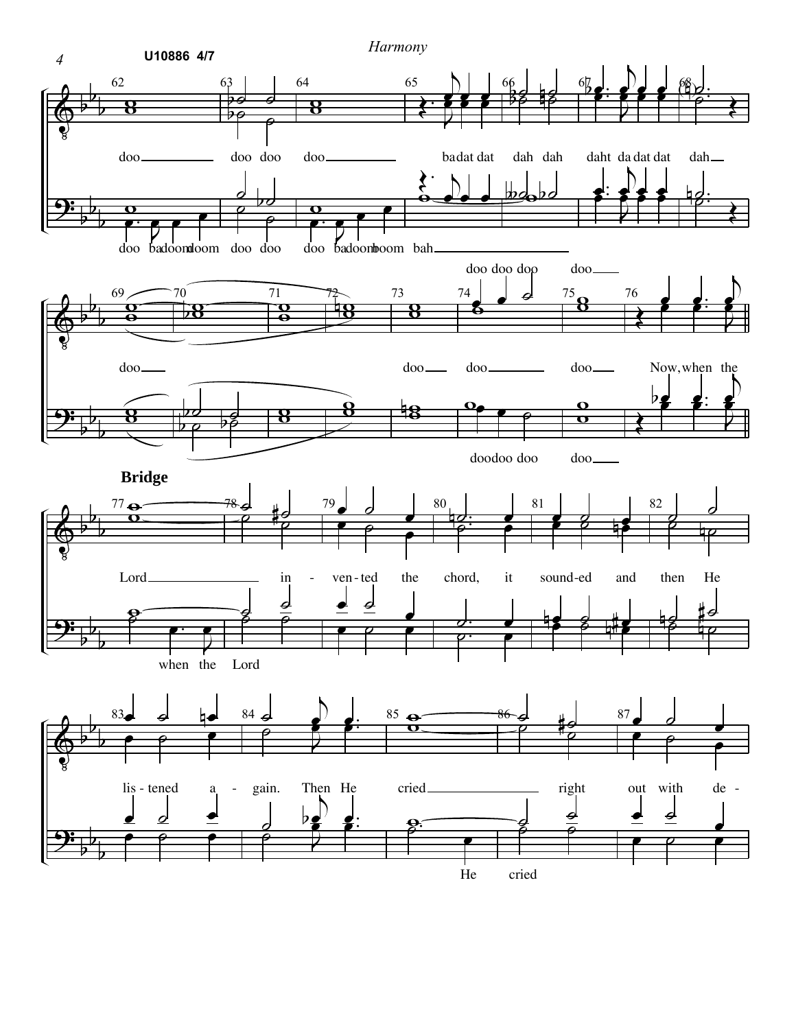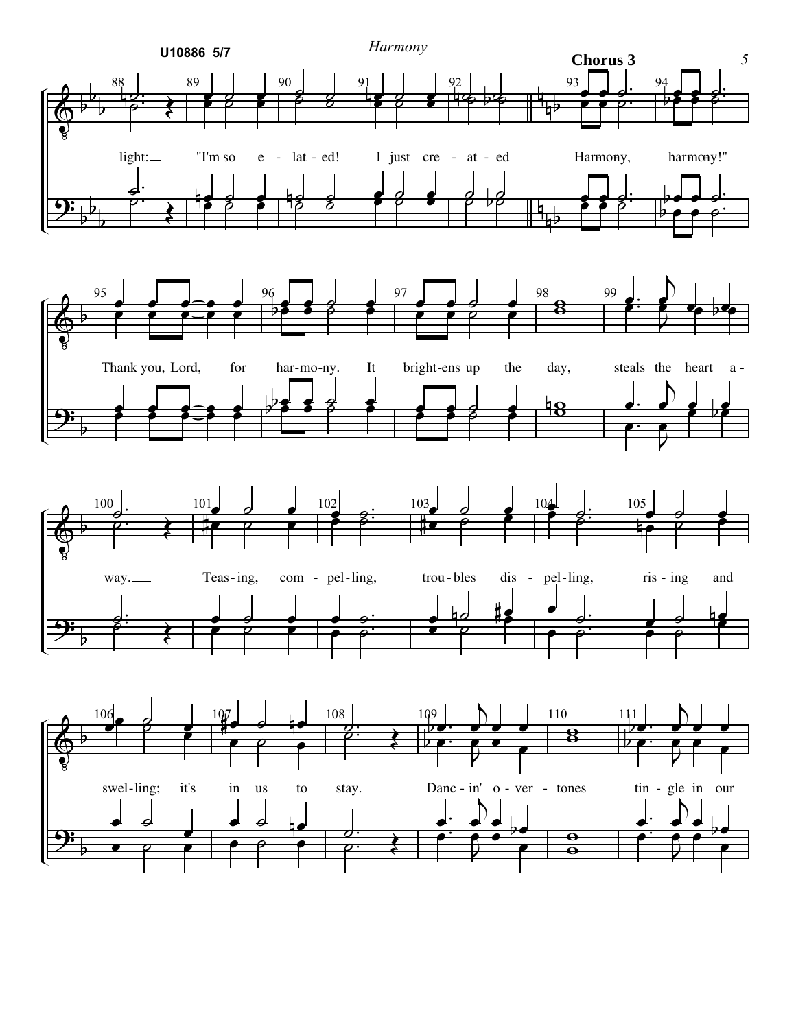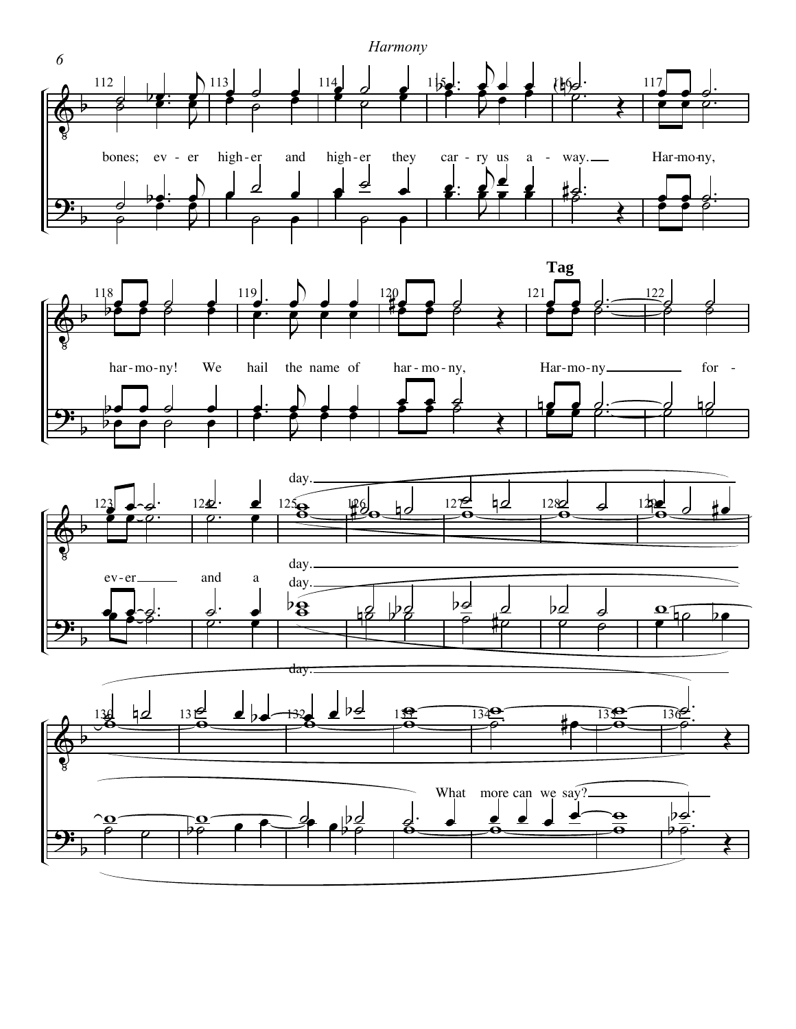